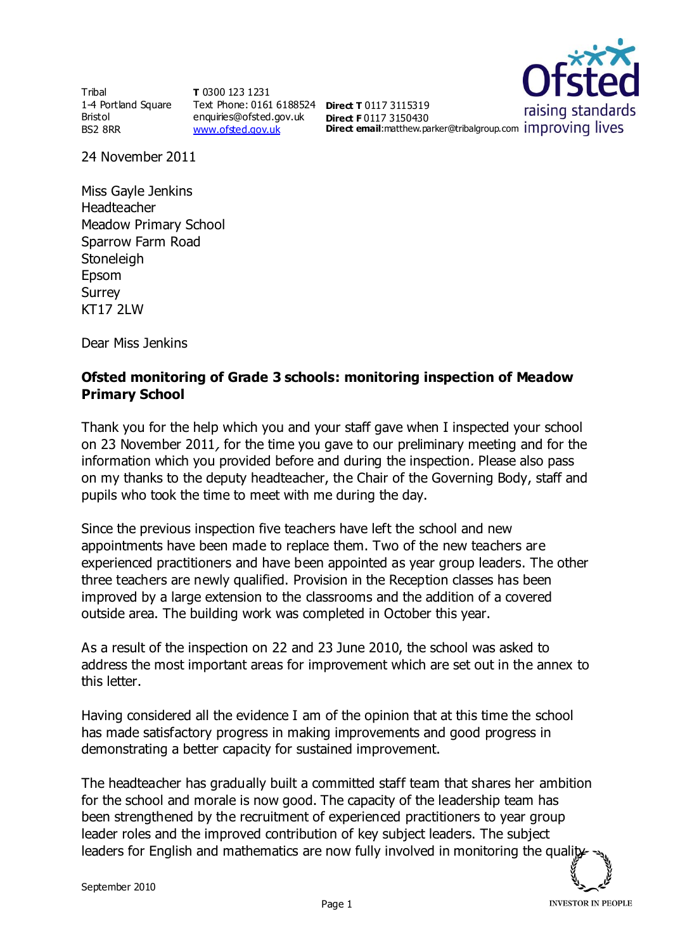**Tribal** 1-4 Portland Square Bristol BS2 8RR

**T** 0300 123 1231 Text Phone: 0161 6188524 **Direct T** 0117 3115319 enquiries@ofsted.gov.uk [www.ofsted.gov.uk](http://www.ofsted.gov.uk/)

raising standards **Direct F** 0117 3150430 **Direct email:**matthew.parker@tribalgroup.com Improving lives

24 November 2011

Miss Gayle Jenkins Headteacher Meadow Primary School Sparrow Farm Road **Stoneleigh** Epsom Surrey KT17 2LW

Dear Miss Jenkins

## **Ofsted monitoring of Grade 3 schools: monitoring inspection of Meadow Primary School**

Thank you for the help which you and your staff gave when I inspected your school on 23 November 2011, for the time you gave to our preliminary meeting and for the information which you provided before and during the inspection. Please also pass on my thanks to the deputy headteacher, the Chair of the Governing Body, staff and pupils who took the time to meet with me during the day.

Since the previous inspection five teachers have left the school and new appointments have been made to replace them. Two of the new teachers are experienced practitioners and have been appointed as year group leaders. The other three teachers are newly qualified. Provision in the Reception classes has been improved by a large extension to the classrooms and the addition of a covered outside area. The building work was completed in October this year.

As a result of the inspection on 22 and 23 June 2010, the school was asked to address the most important areas for improvement which are set out in the annex to this letter.

Having considered all the evidence I am of the opinion that at this time the school has made satisfactory progress in making improvements and good progress in demonstrating a better capacity for sustained improvement.

The headteacher has gradually built a committed staff team that shares her ambition for the school and morale is now good. The capacity of the leadership team has been strengthened by the recruitment of experienced practitioners to year group leader roles and the improved contribution of key subject leaders. The subject leaders for English and mathematics are now fully involved in monitoring the quality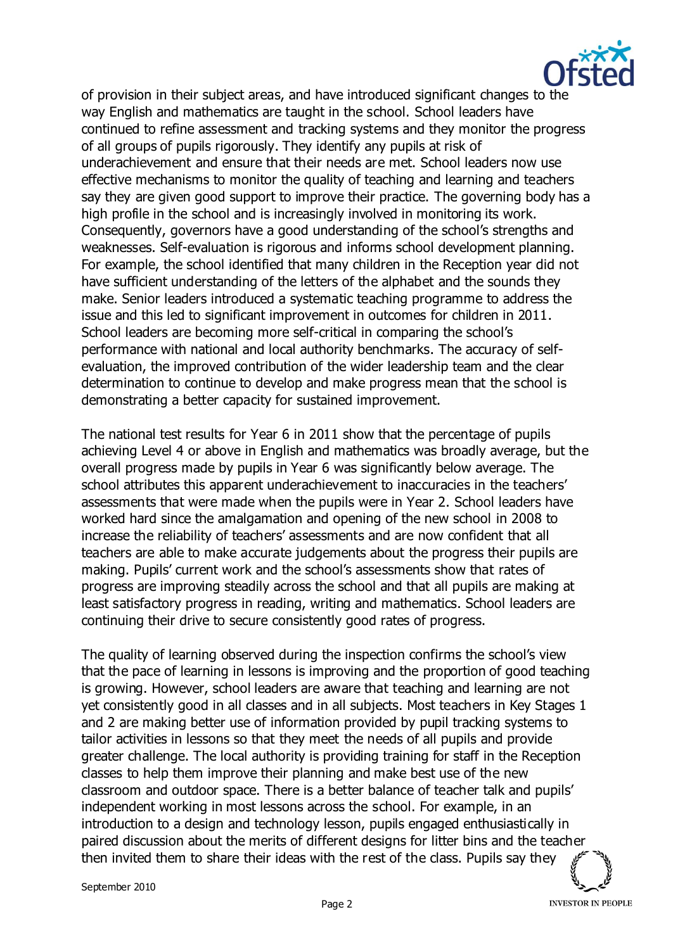

of provision in their subject areas, and have introduced significant changes to the way English and mathematics are taught in the school. School leaders have continued to refine assessment and tracking systems and they monitor the progress of all groups of pupils rigorously. They identify any pupils at risk of underachievement and ensure that their needs are met. School leaders now use effective mechanisms to monitor the quality of teaching and learning and teachers say they are given good support to improve their practice. The governing body has a high profile in the school and is increasingly involved in monitoring its work. Consequently, governors have a good understanding of the school's strengths and weaknesses. Self-evaluation is rigorous and informs school development planning. For example, the school identified that many children in the Reception year did not have sufficient understanding of the letters of the alphabet and the sounds they make. Senior leaders introduced a systematic teaching programme to address the issue and this led to significant improvement in outcomes for children in 2011. School leaders are becoming more self-critical in comparing the school's performance with national and local authority benchmarks. The accuracy of selfevaluation, the improved contribution of the wider leadership team and the clear determination to continue to develop and make progress mean that the school is demonstrating a better capacity for sustained improvement.

The national test results for Year 6 in 2011 show that the percentage of pupils achieving Level 4 or above in English and mathematics was broadly average, but the overall progress made by pupils in Year 6 was significantly below average. The school attributes this apparent underachievement to inaccuracies in the teachers' assessments that were made when the pupils were in Year 2. School leaders have worked hard since the amalgamation and opening of the new school in 2008 to increase the reliability of teachers' assessments and are now confident that all teachers are able to make accurate judgements about the progress their pupils are making. Pupils' current work and the school's assessments show that rates of progress are improving steadily across the school and that all pupils are making at least satisfactory progress in reading, writing and mathematics. School leaders are continuing their drive to secure consistently good rates of progress.

The quality of learning observed during the inspection confirms the school's view that the pace of learning in lessons is improving and the proportion of good teaching is growing. However, school leaders are aware that teaching and learning are not yet consistently good in all classes and in all subjects. Most teachers in Key Stages 1 and 2 are making better use of information provided by pupil tracking systems to tailor activities in lessons so that they meet the needs of all pupils and provide greater challenge. The local authority is providing training for staff in the Reception classes to help them improve their planning and make best use of the new classroom and outdoor space. There is a better balance of teacher talk and pupils' independent working in most lessons across the school. For example, in an introduction to a design and technology lesson, pupils engaged enthusiastically in paired discussion about the merits of different designs for litter bins and the teacher then invited them to share their ideas with the rest of the class. Pupils say they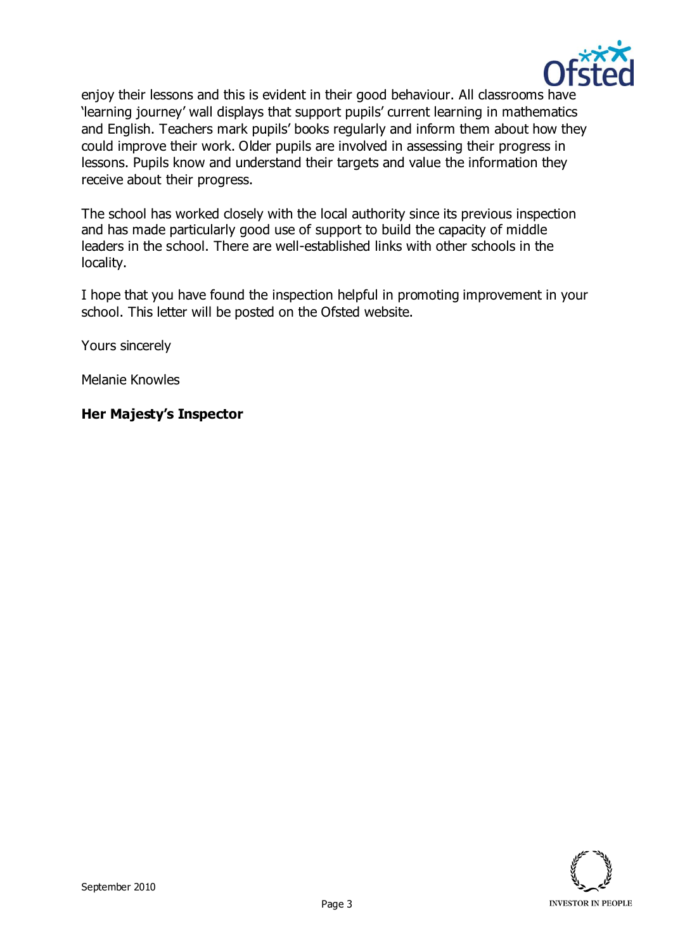

enjoy their lessons and this is evident in their good behaviour. All classrooms have 'learning journey' wall displays that support pupils' current learning in mathematics and English. Teachers mark pupils' books regularly and inform them about how they could improve their work. Older pupils are involved in assessing their progress in lessons. Pupils know and understand their targets and value the information they receive about their progress.

The school has worked closely with the local authority since its previous inspection and has made particularly good use of support to build the capacity of middle leaders in the school. There are well-established links with other schools in the locality.

I hope that you have found the inspection helpful in promoting improvement in your school. This letter will be posted on the Ofsted website.

Yours sincerely

Melanie Knowles

## **Her Majesty's Inspector**